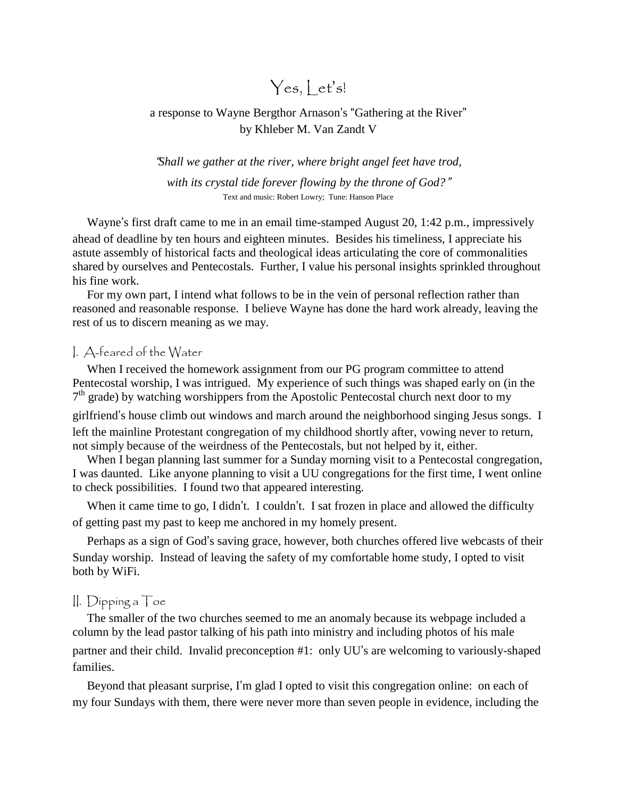# $Yes, let's!$

# a response to Wayne Bergthor Arnason's "Gathering at the River" by Khleber M. Van Zandt V

"*Shall we gather at the river, where bright angel feet have trod,*

*with its crystal tide forever flowing by the throne of God?*" Text and music: Robert Lowry; Tune: Hanson Place

Wayne's first draft came to me in an email time-stamped August 20, 1:42 p.m., impressively ahead of deadline by ten hours and eighteen minutes. Besides his timeliness, I appreciate his astute assembly of historical facts and theological ideas articulating the core of commonalities shared by ourselves and Pentecostals. Further, I value his personal insights sprinkled throughout his fine work.

For my own part, I intend what follows to be in the vein of personal reflection rather than reasoned and reasonable response. I believe Wayne has done the hard work already, leaving the rest of us to discern meaning as we may.

#### I. A-feared of the Water

When I received the homework assignment from our PG program committee to attend Pentecostal worship, I was intrigued. My experience of such things was shaped early on (in the 7<sup>th</sup> grade) by watching worshippers from the Apostolic Pentecostal church next door to my

girlfriend's house climb out windows and march around the neighborhood singing Jesus songs. I left the mainline Protestant congregation of my childhood shortly after, vowing never to return, not simply because of the weirdness of the Pentecostals, but not helped by it, either.

When I began planning last summer for a Sunday morning visit to a Pentecostal congregation, I was daunted. Like anyone planning to visit a UU congregations for the first time, I went online to check possibilities. I found two that appeared interesting.

When it came time to go, I didn't. I couldn't. I sat frozen in place and allowed the difficulty of getting past my past to keep me anchored in my homely present.

Perhaps as a sign of God's saving grace, however, both churches offered live webcasts of their Sunday worship. Instead of leaving the safety of my comfortable home study, I opted to visit both by WiFi.

#### II. Dipping a Toe

The smaller of the two churches seemed to me an anomaly because its webpage included a column by the lead pastor talking of his path into ministry and including photos of his male partner and their child. Invalid preconception #1: only UU's are welcoming to variously-shaped families.

Beyond that pleasant surprise, I'm glad I opted to visit this congregation online: on each of my four Sundays with them, there were never more than seven people in evidence, including the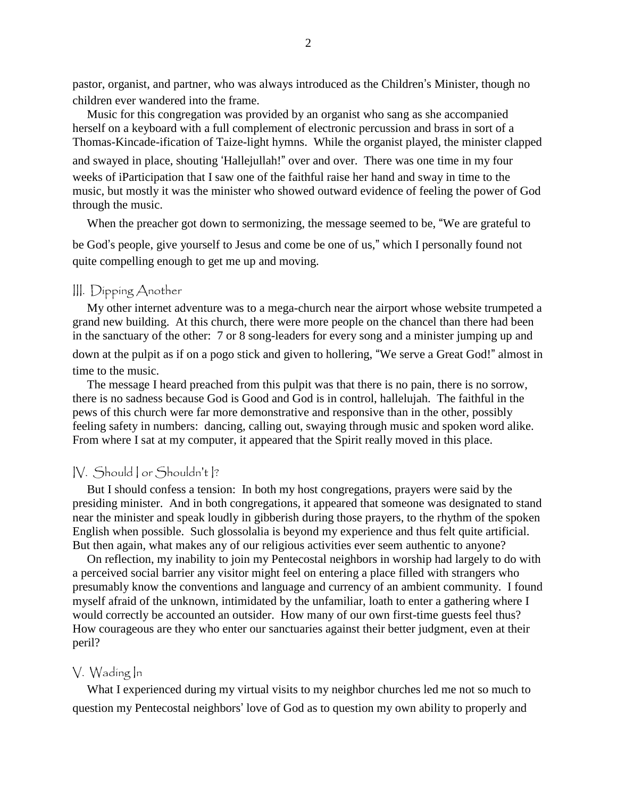pastor, organist, and partner, who was always introduced as the Children's Minister, though no children ever wandered into the frame.

Music for this congregation was provided by an organist who sang as she accompanied herself on a keyboard with a full complement of electronic percussion and brass in sort of a Thomas-Kincade-ification of Taize-light hymns. While the organist played, the minister clapped and swayed in place, shouting 'Hallejullah!" over and over. There was one time in my four weeks of iParticipation that I saw one of the faithful raise her hand and sway in time to the music, but mostly it was the minister who showed outward evidence of feeling the power of God through the music.

When the preacher got down to sermonizing, the message seemed to be, "We are grateful to

be God's people, give yourself to Jesus and come be one of us," which I personally found not quite compelling enough to get me up and moving.

## III. Dipping Another

My other internet adventure was to a mega-church near the airport whose website trumpeted a grand new building. At this church, there were more people on the chancel than there had been in the sanctuary of the other: 7 or 8 song-leaders for every song and a minister jumping up and down at the pulpit as if on a pogo stick and given to hollering, "We serve a Great God!" almost in time to the music.

The message I heard preached from this pulpit was that there is no pain, there is no sorrow, there is no sadness because God is Good and God is in control, hallelujah. The faithful in the pews of this church were far more demonstrative and responsive than in the other, possibly feeling safety in numbers: dancing, calling out, swaying through music and spoken word alike. From where I sat at my computer, it appeared that the Spirit really moved in this place.

#### IV. Should I or Shouldn't I?

But I should confess a tension: In both my host congregations, prayers were said by the presiding minister. And in both congregations, it appeared that someone was designated to stand near the minister and speak loudly in gibberish during those prayers, to the rhythm of the spoken English when possible. Such glossolalia is beyond my experience and thus felt quite artificial. But then again, what makes any of our religious activities ever seem authentic to anyone?

On reflection, my inability to join my Pentecostal neighbors in worship had largely to do with a perceived social barrier any visitor might feel on entering a place filled with strangers who presumably know the conventions and language and currency of an ambient community. I found myself afraid of the unknown, intimidated by the unfamiliar, loath to enter a gathering where I would correctly be accounted an outsider. How many of our own first-time guests feel thus? How courageous are they who enter our sanctuaries against their better judgment, even at their peril?

#### V. Wading In

What I experienced during my virtual visits to my neighbor churches led me not so much to question my Pentecostal neighbors' love of God as to question my own ability to properly and